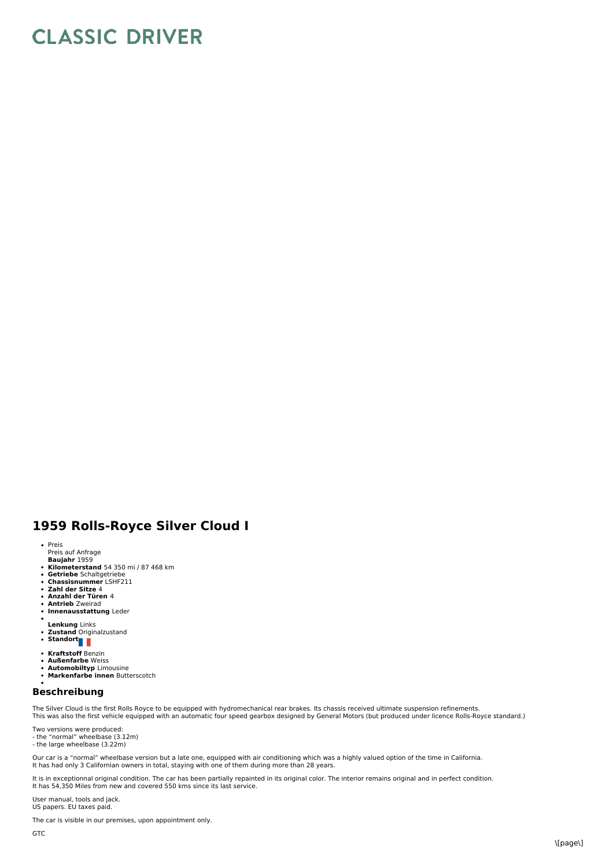## **CLASSIC DRIVER**

## **1959 Rolls-Royce Silver Cloud I**

- Preis
- 
- Preis auf Anfrage<br>**Baujahr** 1959
- **Kilometerstand** 54 350 mi / 87 468 km<br>**Getriebe** Schaltgetriebe<br>**Chassisnummer** LSHF211<br>**Zahl der Sitze** 4  $\bullet$
- 
- $\ddot{\phantom{a}}$
- **Anzahl der Türen** 4  $\bullet$
- $\ddot{\phantom{0}}$ **Antrieb** Zweirad **Innenausstattung** Leder  $\ddot{\phantom{0}}$
- 
- **Lenkung** Links
- **Zustand** Originalzustand **Standort**
- 
- **Kraftstoff** Benzin
- **Außenfarbe** Weiss  $\bullet$
- **Automobiltyp** Limousine **Markenfarbe innen** Butterscotch  $\ddot{\phantom{a}}$

## **Beschreibung**

The Silver Cloud is the first Rolls Royce to be equipped with hydromechanical rear brakes. Its chassis received ultimate suspension refinements.<br>This was also the first vehicle equipped with an automatic four speed gearbox

Two versions were produced: - the "normal" wheelbase (3.12m) - the large wheelbase (3.22m)

Our car is a "normal" wheelbase version but a late one, equipped with air conditioning which was a highly valued option of the time in California. It has had only 3 Californian owners in total, staying with one of them during more than 28 years.

It is in exceptionnal original condition. The car has been partially repainted in its original color. The interior remains original and in perfect condition. It has 54,350 Miles from new and covered 550 kms since its last service.

User manual, tools and jack. US papers. EU taxes paid.

The car is visible in our premises, upon appointment only.